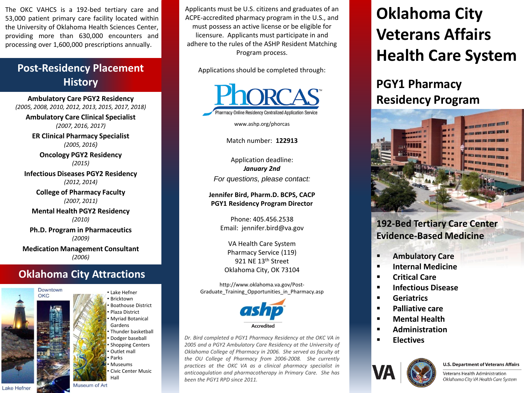The OKC VAHCS is a 192-bed tertiary care and 53,000 patient primary care facility located within the University of Oklahoma Health Sciences Center, providing more than 630,000 encounters and processing over 1,600,000 prescriptions annually.

### **Post-Residency Placement History**

**Ambulatory Care PGY2 Residency**  *(2005, 2008, 2010, 2012, 2013, 2015, 2017, 2018)*

**Ambulatory Care Clinical Specialist** *(2007, 2016, 2017)*

**ER Clinical Pharmacy Specialist**  *(2005, 2016)*

**Oncology PGY2 Residency** *(2015)*

**Infectious Diseases PGY2 Residency**  *(2012, 2014)*

> **College of Pharmacy Faculty**  *(2007, 2011)*

**Mental Health PGY2 Residency**  *(2010)*

**Ph.D. Program in Pharmaceutics**  *(2009)* **Medication Management Consultant**  *(2006)*

### **Oklahoma City Attractions**



• Lake Hefner **Bricktown** • Boathouse District • Plaza District • Myriad Botanical Gardens • Thunder basketball • Dodger baseball Shopping Centers Outlet mall • Parks • Museums • Civic Center Music Hall

Applicants must be U.S. citizens and graduates of an ACPE-accredited pharmacy program in the U.S., and must possess an active license or be eligible for licensure. Applicants must participate in and adhere to the rules of the ASHP Resident Matching Program process.

Applications should be completed through:



www.ashp.org/phorcas

Match number: **122913**

Application deadline: *January 2nd For questions, please contact:*

**Jennifer Bird, Pharm.D. BCPS, CACP PGY1 Residency Program Director**

> Phone: 405.456.2538 Email: jennifer.bird@va.gov

VA Health Care System Pharmacy Service (119) 921 NE 13<sup>th</sup> Street Oklahoma City, OK 73104

http://www.oklahoma.va.gov/Post-Graduate Training Opportunities in Pharmacy.asp



*Dr. Bird completed a PGY1 Pharmacy Residency at the OKC VA in 2005 and a PGY2 Ambulatory Care Residency at the University of Oklahoma College of Pharmacy in 2006. She served as faculty at the OU College of Pharmacy from 2006-2008. She currently practices at the OKC VA as a clinical pharmacy specialist in anticoagulation and pharmacotherapy in Primary Care. She has been the PGY1 RPD since 2011.*

# **Oklahoma City Veterans Affairs Health Care System**

## **PGY1 Pharmacy Residency Program**



### **192-Bed Tertiary Care Center Evidence-Based Medicine**

- **Ambulatory Care**
- **Internal Medicine**
- **Critical Care**
- **Infectious Disease**
- **Geriatrics**
- **Palliative care**
- **Mental Health**
- **Administration**
- **Electives**



#### **U.S. Department of Veterans Affairs**

Veterans Health Administration Oklahoma City VA Health Care System